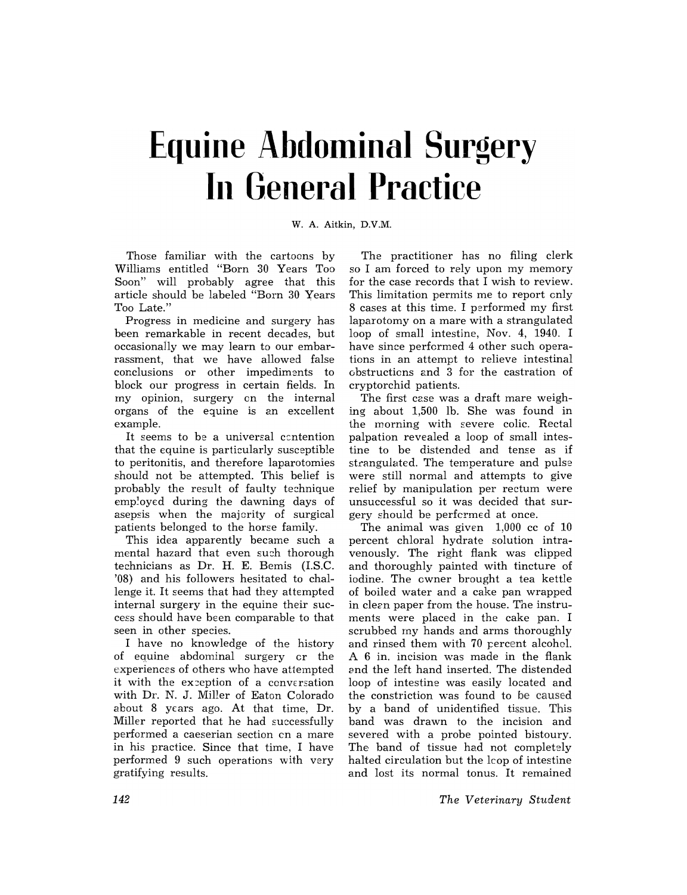## **Equine Abdominal Surgery In General Practice**

W. A. Aitkin, D.V.M.

Those familiar with the cartoons by Williams entitled "Born 30 Years Too Soon" will probably agree that this article should be labeled "Born 30 Years Too Late."

Progress in medicine and surgery has been remarkable in recent decades, but occasionally we may learn to our embarrassment, that we have allowed false conclusions or other impediments to block our progress in certain fields. In my opinion, surgery on the internal organs of the equine is an excellent example.

It seems to be a universal contention that the equine is particularly susceptible to peritonitis, and therefore laparotomies should not be attempted. This belief is probably the result of faulty technique employed during the dawning days of asepsis when the majority of surgical patients belonged to the horse family.

This idea apparently became such a mental hazard that even such thorough technicians as Dr. H. E. Bemis (LS.C. '08) and his followers hesitated to challenge it. It seems that had they attempted internal surgery in the equine their success should have been comparable to that seen in other species.

I have no knowledge of the history of equine abdominal surgery or the experiences of others who have attempted it with the exception of a conversation with Dr. N. J. Miller of Eaton Colorado about 8 years ago. At that time, Dr. Miller reported that he had successfully performed a caeserian section en a mare in his practice. Since that time, I have performed 9 such operations with very gratifying results.

The practitioner has no filing clerk so I am forced to rely upon my memory for the case records that I wish to review. This limitation permits me to report only 8 cases at this time. I performed my first laparotomy on a mare with a strangulated loop of small intestine, Nov. 4, 1940. I have since performed 4 other such operations in an attempt to relieve intestinal obstructions and 3 for the castration of cryptorchid patients.

The first case was a draft mare weighing about 1,500 lb. She was found in the morning with severe colic. Rectal palpation revealed a loop of small intestine to be distended and tense as if strangulated. The temperature and pulse were still normal and attempts to give relief by manipulation per rectum were unsuccessful so it was decided that surgery should be perfcrmed at once.

The animal was given 1,000 cc of 10 percent chloral hydrate solution intravenously. The right flank was clipped and thoroughly painted with tincture of iodine. The owner brought a tea kettle of boiled water and a cake pan wrapped in clean paper from the house. The instruments were placed in the cake pan. I scrubbed my hands and arms thoroughly and rinsed them with 70 percent alcohol. A 6 in. incision was made in the flank and the left hand inserted. The distended loop of intestine was easily located and the constriction was found to be caused by a band of unidentified tissue. This band was drawn to the incision and severed with a probe pointed bistoury. The band of tissue had not completely halted circulation but the leop of intestine and lost its normal tonus. It remained

*The Veterinary Student*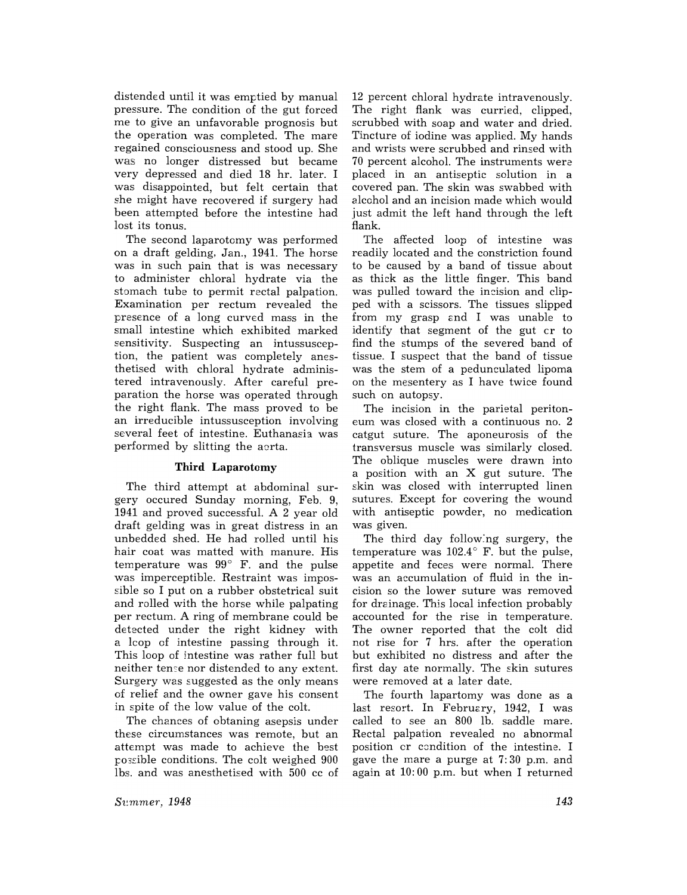distended until it was emptied by manual pressure. The condition of the gut forced me to give an unfavorable prognosis but the operation was completed. The mare regained consciousness and stood up. She was no longer distressed but became very depressed and died 18 hr. later. I was disappointed, but felt certain that she might have recovered if surgery had been attempted before the intestine had lost its tonus.

The second laparotomy was performed on a draft gelding, Jan., 1941. The horse was in such pain that is was necessary to administer chloral hydrate via the stomach tube to permit rectal palpation. Examination per rectum revealed the presence of a long curved mass in the small intestine which exhibited marked sensitivity. Suspecting an intussusception, the patient was completely anesthetised with chloral hydrate administered intravenously. After careful preparation the horse was operated through the right flank. The mass proved to be an irreducible intussusception involving several feet of intestine. Euthanasia was performed by slitting the aorta.

## **Third** Laparotomy

The third attempt at abdominal surgery occured Sunday morning, Feb. 9, 1941 and proved successful. A 2 year old draft gelding was in great distress in an unbedded shed. He had rolled until his hair coat was matted with manure. His temperature was  $99^{\circ}$  F. and the pulse was imperceptible. Restraint was impos sible so I put on a rubber obstetrical suit and rolled with the horse while palpating per rectum. A ring of membrane could be detected under the right kidney with a lcop of intestine passing through it. This loop of intestine was rather full but neither teme nor distended to any extent. Surgery was suggested as the only means of relief and the owner gave his consent in spite of the low value of the colt.

The chances of obtaning asepsis under these circumstances was remote, but an attempt was made to achieve the best possible conditions. The colt weighed 900 lbs. and was anesthetised with 500 cc of 12 percent chloral hydrate intravenously. The right flank was curried, clipped, scrubbed with soap and water and dried. Tincture of iodine was applied. My hands and wrists were scrubbed and rinsed with 70 percent alcohol. The instruments were placed in an antiseptic solution in a covered pan. The skin was swabbed with alcohol and an incision made which would just admit the left hand through the left flank.

The affected loop of intestine was readily located and the constriction found to be caused by a band of tissue about as thick as the little finger. This band was pulled toward the incision and clipped with a scissors. The tissues slipped from my grasp and I was unable to identify that segment of the gut cr to find the stumps of the severed band of tissue. I suspect that the band of tissue was the stem of a pedunculated lipoma on the mesentery as I have twice found such on autopsy.

The incision in the parietal peritoneum was closed with a continuous no. 2 catgut suture. The aponeurosis of the transversus muscle was similarly closed. The oblique muscles were drawn into a position with an X gut suture. The skin was closed with interrupted linen sutures. Except for covering the wound with antiseptic powder, no medication was given.

The third day follow:ng surgery, the temperature was  $102.4^{\circ}$  F. but the pulse, appetite and feces were normal. There was an accumulation of fluid in the incision so the lower suture was removed for drainage. This local infection probably accounted for the rise in temperature. The owner reported that the colt did not rise for 7 hrs. after the operation but exhibited no distress and after the first day ate normally. The skin sutures were removed at a later date.

The fourth lapartomy was done as a last resort. In February, 1942, I was called to see an 800 lb. saddle mare. Rectal palpation revealed no abnormal position cr condition of the intestine. I gave the mare a purge at 7: 30 p.m. and again at 10: 00 p.m. but when I returned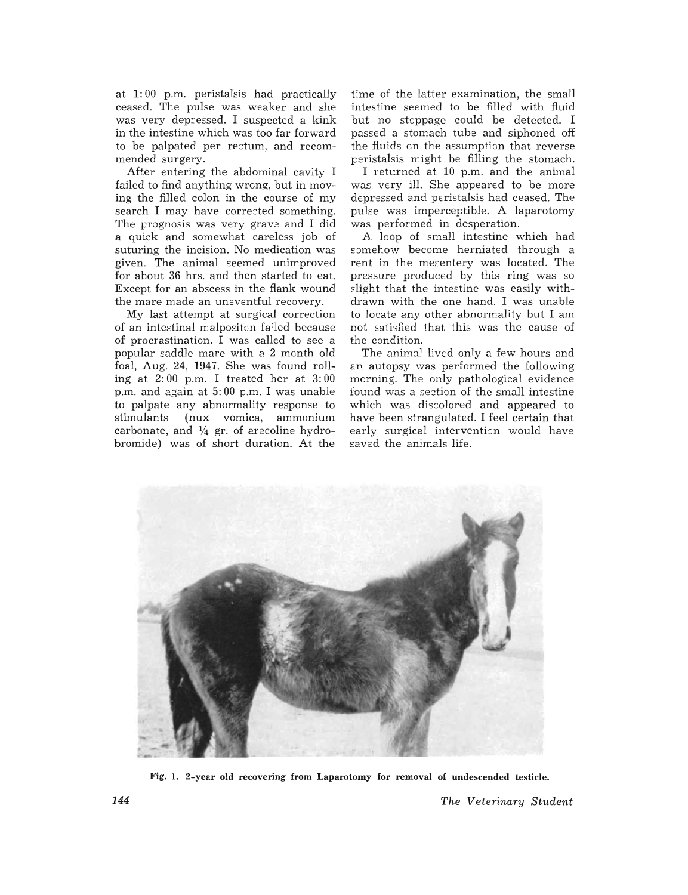at 1: 00 p.m. peristalsis had practically ceased. The pulse was weaker and she was very depressed. I suspected a kink in the intestine which was too far forward to be palpated per rectum, and recommended surgery.

After entering the abdominal cavity I failed to find anything wrong, but in moving the filled colon in the course of my search I may have corrected something. The prognosis was very grave and I did a quick and somewhat careless job of suturing the incision. No medication was given. The animal seemed unimproved for about 36 hrs. and then started to eat. Except for an abscess in the flank wound the mare made an uneventful recovery.

My last attempt at surgical correction of an intestinal malpositcn fa :led because of procrastination. I was called to see a popular saddle mare with a 2 month old foal, Aug. 24, 1947. She was found rolling at 2: 00 p.m. I treated her at 3: 00 p.m. and again at 5: 00 p.m. I was unable to palpate any abnormality response to stimulants (nux vomica, ammonium carbonate, and  $\frac{1}{4}$  gr. of arecoline hydrobromide) was of short duration. At the

time of the latter examination, the small intestine seemed to be filled with fluid but no stoppage could be detected. I passed a stomach tube and siphoned off the fluids on the assumption that reverse peristalsis might be filling the stomach.

I returned at 10 p.m. and the animal was very ill. She appeared to be more depressed and peristalsis had ceased. The pulse was imperceptible. A laparotomy was performed in desperation.

A loop of small intestine which had somehow become herniated through a rent in the mesentery was located. The pressure produced by this ring was so slight that the intestine was easily withdrawn with the one hand. I was unable to locate any other abnormality but I am not satisfied that this was the cause of the condition.

The animal lived only a few hours and an autopsy was performed the following mcrning. The only pathological evidence found was a section of the small intestine which was discolored and appeared to have been strangulated. I feel certain that early surgical intervention would have saved the animals life.



Fig. 1. 2-year old recovering from Laparotomy for removal of undescended testicle.

144 *The Veterinary Student*